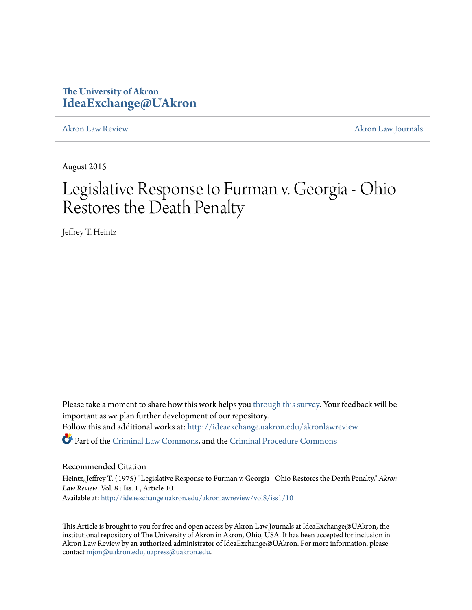# **The University of Akron [IdeaExchange@UAkron](http://ideaexchange.uakron.edu?utm_source=ideaexchange.uakron.edu%2Fakronlawreview%2Fvol8%2Fiss1%2F10&utm_medium=PDF&utm_campaign=PDFCoverPages)**

[Akron Law Review](http://ideaexchange.uakron.edu/akronlawreview?utm_source=ideaexchange.uakron.edu%2Fakronlawreview%2Fvol8%2Fiss1%2F10&utm_medium=PDF&utm_campaign=PDFCoverPages) [Akron Law Journals](http://ideaexchange.uakron.edu/akronlawjournals?utm_source=ideaexchange.uakron.edu%2Fakronlawreview%2Fvol8%2Fiss1%2F10&utm_medium=PDF&utm_campaign=PDFCoverPages)

August 2015

# Legislative Response to Furman v. Georgia - Ohio Restores the Death Penalty

Jeffrey T. Heintz

Please take a moment to share how this work helps you [through this survey.](http://survey.az1.qualtrics.com/SE/?SID=SV_eEVH54oiCbOw05f&URL=http://ideaexchange.uakron.edu/akronlawreview/vol8/iss1/10) Your feedback will be important as we plan further development of our repository. Follow this and additional works at: [http://ideaexchange.uakron.edu/akronlawreview](http://ideaexchange.uakron.edu/akronlawreview?utm_source=ideaexchange.uakron.edu%2Fakronlawreview%2Fvol8%2Fiss1%2F10&utm_medium=PDF&utm_campaign=PDFCoverPages) Part of the [Criminal Law Commons](http://network.bepress.com/hgg/discipline/912?utm_source=ideaexchange.uakron.edu%2Fakronlawreview%2Fvol8%2Fiss1%2F10&utm_medium=PDF&utm_campaign=PDFCoverPages), and the [Criminal Procedure Commons](http://network.bepress.com/hgg/discipline/1073?utm_source=ideaexchange.uakron.edu%2Fakronlawreview%2Fvol8%2Fiss1%2F10&utm_medium=PDF&utm_campaign=PDFCoverPages)

### Recommended Citation

Heintz, Jeffrey T. (1975) "Legislative Response to Furman v. Georgia - Ohio Restores the Death Penalty," *Akron Law Review*: Vol. 8 : Iss. 1 , Article 10. Available at: [http://ideaexchange.uakron.edu/akronlawreview/vol8/iss1/10](http://ideaexchange.uakron.edu/akronlawreview/vol8/iss1/10?utm_source=ideaexchange.uakron.edu%2Fakronlawreview%2Fvol8%2Fiss1%2F10&utm_medium=PDF&utm_campaign=PDFCoverPages)

This Article is brought to you for free and open access by Akron Law Journals at IdeaExchange@UAkron, the institutional repository of The University of Akron in Akron, Ohio, USA. It has been accepted for inclusion in Akron Law Review by an authorized administrator of IdeaExchange@UAkron. For more information, please contact [mjon@uakron.edu, uapress@uakron.edu.](mailto:mjon@uakron.edu,%20uapress@uakron.edu)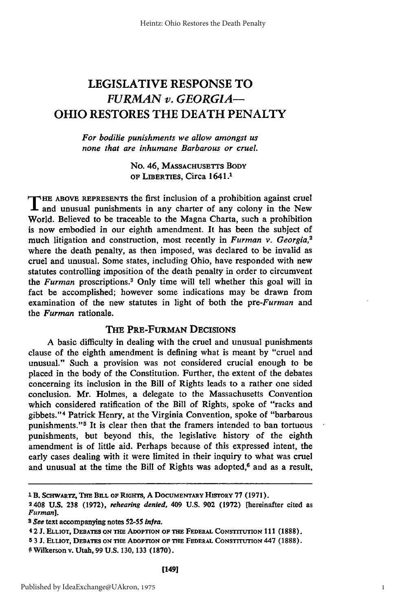## LEGISLATIVE **RESPONSE** TO *FURMAN v. GEORGIA-*OHIO RESTORES THE **DEATH** PENALTY

#### *For bodilie punishments we allow amongst us none that are inhumane Barbarous or cruel.*

No. 46, **MASSACHUSETTS BODY OF** LIBERTIES, Circa 1641.1

THE ABOVE REPRESENTS the first inclusion of a prohibition against crue and unusual punishments in any charter of any colony in the New World. Believed to be traceable to the Magna Charta, such a prohibition is now embodied in our eighth amendment. It has been the subject of much litigation and construction, most recently in *Furman v. Georgia,2* where the death penalty, as then imposed, was declared to be invalid as cruel and unusual. Some states, including Ohio, have responded with new statutes controlling imposition of the death penalty in order to circumvent the *Furman* proscriptions.<sup>3</sup> Only time will tell whether this goal will in fact be accomplished; however some indications may be drawn from examination of the new statutes in light of both the *pre-Furman* and the *Furman* rationale.

#### THE PRE-FURMAN DECISIONS

A basic difficulty in dealing with the cruel and unusual punishments clause of the eighth amendment is defining what is meant **by** "cruel and unusual." Such a provision was not considered crucial enough to be placed in the body of the Constitution. Further, the extent of the debates concerning its inclusion in the Bill of Rights leads to a rather one sided conclusion. Mr. Holmes, a delegate to the Massachusetts Convention which considered ratification of the Bill of Rights, spoke of "racks and gibbets."' 4 Patrick Henry, at the Virginia Convention, spoke of "barbarous punishments."<sup>5</sup> It is clear then that the framers intended to ban tortuous punishments, but beyond this, the legislative history of the eighth amendment is of little aid. Perhaps because of this expressed intent, the early cases dealing with it were limited in their inquiry to what was cruel and unusual at the time the Bill of Rights was adopted, $6$  and as a result,

**<sup>1</sup> B. SCHWARTZ, THE BILL OF RIGHTS, A DOCUMENTARY HISTORY 77 (1971).** 

**<sup>2408</sup> U.S. 238 (1972),** *rehearing denied,* **409 U.S. 902 (1972)** [hereinafter cited as *Furman].*

*<sup>3</sup> See* **text accompanying notes 52-55 infra.**

**<sup>4</sup>** 2 **J.** ELLIOT, **DEBATES ON THE ADOPTION OF THE FEDERAL CONSTrruTION 111 (1888).**

**<sup>5</sup>** 3 **J. ELLIOT, DEBATES ON THE ADOPTION OF THE FEDERAL CONSTITUTION** 447 **(1888). <sup>0</sup>**Wilkerson **v.** Utah, **99 U.S.** 130, **133** (1870).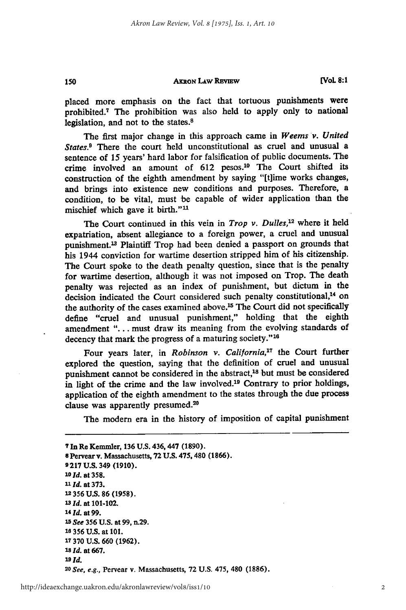150

**[VoL 8:1**

placed more emphasis on the fact that tortuous punishments were prohibited.<sup>7</sup> The prohibition was also held to apply only to national legislation, and not to the states.<sup>8</sup>

The first major change in this approach came in *Weems v. United States.9* There the court held unconstitutional as cruel and unusual a sentence of **15** years' hard labor for falsification of public documents. The crime involved an amount of **612** pesos.10 The Court shifted its construction of the eighth amendment **by** saying **"[t]ime** works changes, and brings into existence new conditions and purposes. Therefore, a condition, to be vital, must be capable of wider application than the mischief which gave it birth."<sup>11</sup>

The Court continued in this vein in *Trop v. Dulles*,<sup>12</sup> where it held expatriation, absent allegiance to a foreign power, a cruel and unusual punishment.13 Plaintiff Trop had been denied a passport on grounds that his 1944 conviction for wartime desertion stripped him of his citizenship. The Court spoke to the death penalty question, since that is the penalty for wartime desertion, although it was not imposed on Trop. The death penalty was rejected as an index of punishment, but dictum in the decision indicated the Court considered such penalty constitutional,<sup>14</sup> on the authority of the cases examined above.<sup>15</sup> The Court did not specifically define "cruel and unusual punishment," holding that the eighth amendment **"...** . must draw its meaning from the evolving standards of decency that mark the progress of a maturing society."<sup>16</sup>

Four years later, in *Robinson v. Calijornia<sup>7</sup>*the Court further explored the question, saying that the definition of cruel and unusual punishment cannot be considered in the abstract,<sup>18</sup> but must be considered in light of the crime and the law involved.<sup>19</sup> Contrary to prior holdings, application of the eighth amendment to the states through the due process clause was apparently presumed.<sup>20</sup>

The modem era in the history of imposition of capital punishment

**7** In Re Kemmler, **136 U.S. 436,447 (1890). 8** Pervear **v.** Massachusetts, **72 U.S.** 475, 480 **(1866). 9217 U.S.** 349 **(1910).** *10 Id.* **at 358. lId. at 373.** 12 **356 U.S. 86 (1958).** *13 Id.* at **101-102.** *'4 Id.* **at99.** *15 See* **356 U.S.** at **99,** n.29. **1e 356 U.S.** at **101. 17 370 U.S. 660 (1962).** *18ld.* at **667.** *19Id. <sup>20</sup>See, e.g.,* Pervear **v.** Massachusetts, **72 U.S.** 475, 480 **(1886).**

2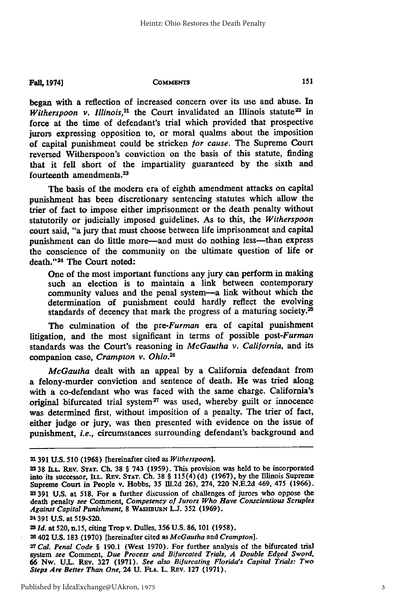**Fall, COMMENTS 1974]**

began with a reflection of increased concern over its use and abuse. In *Witherspoon v. Illinois*, $21$  the Court invalidated an Illinois statute<sup>22</sup> in force at the time of defendant's trial which provided that prospective jurors expressing opposition to, or moral qualms about the imposition of capital punishment could be stricken **or** *cause.* The Supreme Court reversed Witherspoon's conviction on the basis of this statute, finding that it fell short of the impartiality guaranteed **by** the sixth and fourteenth amendments.<sup>23</sup>

The basis of the modern era of eighth amendment attacks on capital punishment has been discretionary sentencing statutes which allow the trier of fact to impose either imprisonment or the death penalty without statutorily or judicially imposed guidelines. As to this, the *Witherspoon* court said, "a jury that must choose between life imprisonment and capital punishment can do little more—and must do nothing less—than express the conscience of the community on the ultimate question of life or death." 24 The Court noted:

One of the most important functions any jury can perform in making such an election is to maintain a link between contemporary community values and the penal system-a link without which the determination of punishment could hardly reflect the evolving standards of decency that mark the progress of a maturing society. $^{25}$ 

The culmination of the *pre-Furman* era of capital punishment litigation, and the most significant in terms of possible *post-Furman* standards was the Court's reasoning in *McGautha v. California,* and its companion case, *Crampton v. Ohio.<sup>2</sup> 6*

*McGautha* dealt with an appeal **by** a California defendant from a felony-murder conviction and sentence of death. He was tried along with a co-defendant who was faced with the same charge. California's original bifurcated trial system<sup>27</sup> was used, whereby guilt or innocence was determined first, without imposition of a penalty. The trier of fact, either judge or jury, was then presented with evidence on the issue of punishment, *i.e.,* circumstances surrounding defendant's background and

**<sup>21391</sup> U.S. 510 (1968)** [hereinafter cited as *Witherspoon].*

<sup>2</sup>**38 ILL.** REv. **STAT. Ch. 38** § 743 **(1959).** This provision was held to **be** incorporated **into** its successor, **ILL.** REv. **STAT. Ch. 38** § **115(4) (d) (1967), by** the Illinois Supreme Supreme Court in People v. Hobbs, **35 Ill.2d 263,** 274, 220 **N.E.2d** 469, 475 **(1966). 23391 U.S.** at **518.** For a further discussion of challenges of jurors who oppose the death penalty *see* Comment, *Competency of Jurors Who Have Conscientious Scruples Against Capital Punishment,* **8 WASHURN L.J. 352 (1969).**

**<sup>24391</sup> U.S. at 519-520.**

*<sup>2</sup>Id.* **at 520,** n.15, **citing** Trop **v.** Dulles, **356 U.S. 86, 101 (1958).**

<sup>26402</sup> **U.S. 183 (1970)** [hereinafter cited as *McGautha* and *Crampton].*

**<sup>27</sup>***Cal. Penal Code §* **190.1** (West **1970).** For further analysis of the bifurcated trial system *see* Comment, *Due Process and Bifurcated Trials, A Double Edged Sword,* **66 Nw. U.L. Rev. 327 (1971). See also Bifurcating Florida's Capital Trials: Two** *Steps Are Better Than One,* 24 **U. FLA.** L. REv. **127 (1971).**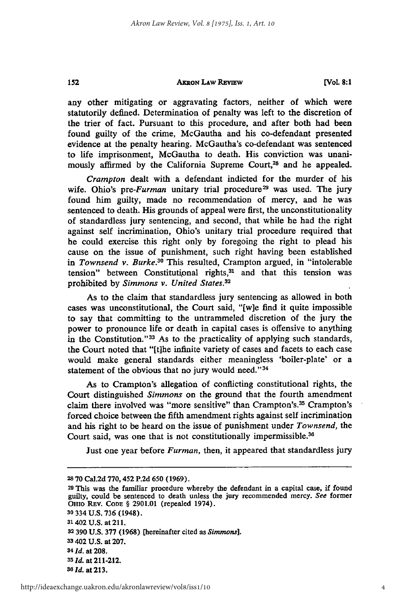#### **AxRoN LAw REvIEW**

**[Vol. 8:1**

any other mitigating or aggravating factors, neither of which were statutorily defined. Determination of penalty was left to the discretion of the trier of fact. Pursuant to this procedure, and after both had been found guilty of the crime, McGautha and his co-defendant presented evidence at the penalty hearing. McGautha's co-defendant was sentenced to life imprisonment, McGautha to death. His conviction was unanimously affirmed by the California Supreme Court,<sup>28</sup> and he appealed.

*Crampton* dealt with a defendant indicted for the murder of his wife. Ohio's pre-Furman unitary trial procedure<sup>29</sup> was used. The jury found him guilty, made no recommendation of mercy, and he was sentenced to death. His grounds of appeal were first, the unconstitutionality of standardless jury sentencing, and second, that while he had the right against self incrimination, Ohio's unitary trial procedure required that he could exercise this right only by foregoing the right to plead his cause on the issue of punishment, such right having been established *in Townsend v. Burke.30* This resulted, Crampton argued, in "intolerable tension" between Constitutional rights,<sup>31</sup> and that this tension was prohibited by *Simmons v. United States.32*

As to the claim that standardless jury sentencing as allowed in both cases was unconstitutional, the Court said, "[w]e find it quite impossible to say that committing to the untrammeled discretion of the jury the power to pronounce life or death in capital cases is offensive to anything in the Constitution."<sup>33</sup> As to the practicality of applying such standards, the Court noted that "[t]he infinite variety of cases and facets to each case would make general standards either meaningless 'boiler-plate' or a statement of the obvious that no jury would need."<sup>34</sup>

As to Crampton's allegation of conflicting constitutional rights, the Court distinguished *Simmons* on the ground that the fourth amendment claim there involved was "more sensitive" than Crampton's.<sup>35</sup> Crampton's forced choice between the fifth amendment rights against self incrimination and his right to be heard on the issue of punishment under *Townsend, the* Court said, was one that is not constitutionally impermissible.<sup>36</sup>

Just one year before *Furman,* then, it appeared that standardless jury

152

**<sup>28 70</sup>** Cal.2d 770,452 P.2d 650 (1969).

**<sup>29</sup> This** was the familiar procedure whereby the defendant in a capital case, if found guilty, could be sentenced to death unless the jury recommended mercy. *See* former **OHIo** REv. CoDE § **2901.01** (repealed 1974).

**<sup>30 334</sup> U.S. 736** (1948). **3'** 402 **U.S.** at 211. **32 390 U.S. 377 (1968)** [hereinafter cited as *Simmons].* **33402 U.S.** at **207.** *341d.* at **208. <sup>35</sup>***Id.* at 211-212. *3s Id.* at **213.**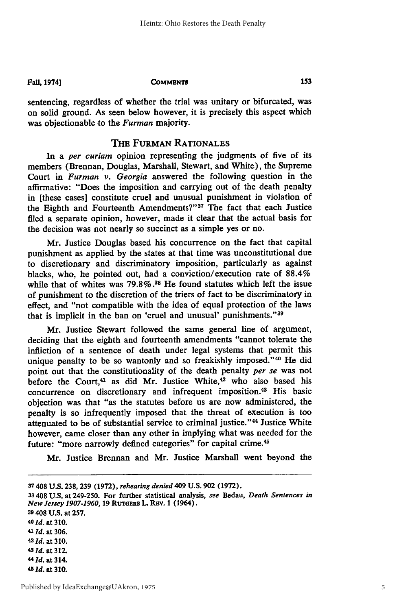**Fall, 1974]**

#### **COMMENTS**

sentencing, regardless of whether the trial was unitary or bifurcated, was on solid ground. As seen below however, it is precisely this aspect which was objectionable to the *Furman* **majority.**

#### THE FURMAN **RATIONALES**

In a *per curiam* opinion representing the judgments of five of its members (Brennan, Douglas, Marshall, Stewart, and White), the Supreme Court in *Furman v.* Georgia answered the following question in the affirmative: "Does the imposition and carrying out of the death penalty in [these cases] constitute cruel and unusual punishment in violation of the Eighth and Fourteenth Amendments?"<sup>37</sup> The fact that each Justice filed a separate opinion, however, made it clear that the actual basis for the decision was not nearly so succinct as a simple yes or no.

Mr. Justice Douglas based his concurrence on the fact that capital punishment as applied by the states at that time was unconstitutional due to discretionary and discriminatory imposition, particularly as against blacks, who, he pointed out, had a conviction/execution rate of 88.4% while that of whites was **79.8%. 38** He found statutes which left the issue of punishment to the discretion of the triers of fact to be discriminatory in effect, and "not compatible with the idea of equal protection of the laws that is implicit in the ban on 'cruel and unusual' punishments."<sup>39</sup>

Mr. Justice Stewart followed the same general line of argument, deciding that the eighth and fourteenth amendments "cannot tolerate the infliction of a sentence of death under legal systems that permit this unique penalty to be so wantonly and so freakishly imposed."<sup>40</sup> He did point out that the constitutionality of the death penalty *per se* was not before the Court,<sup>41</sup> as did Mr. Justice White,<sup>42</sup> who also based his concurrence on discretionary and infrequent imposition.43 His basic objection was that "as the statutes before us are now administered, the penalty is so infrequently imposed that the threat of execution is too attenuated to be of substantial service to criminal justice."<sup>44</sup> Justice White however, came closer than any other in implying what was needed for the future: "more narrowly defined categories" for capital crime.<sup>45</sup>

Mr. Justice Brennan and Mr. Justice Marshall went beyond the

**<sup>37 408</sup> U.S. 238, 239 (1972),** *rehearing denied* 409 **U.S. 902 (1972).**

**<sup>38 408</sup> U.S. at 249-250. For further statistical analysis,** *see* **Bedau,** *Death Sentences in New Jersey 1907-1960,* **19 RuTGERs L. REv. 1** (1964).

**<sup>39 408</sup> U.S. at 257. <sup>40</sup>***Id.* **at 310. <sup>41</sup>***Id.* at **306. <sup>42</sup>***Id.* at **310. <sup>43</sup>***Id.* at **312. 44** *Id.* **at** 314. **45 Id.** at **310.**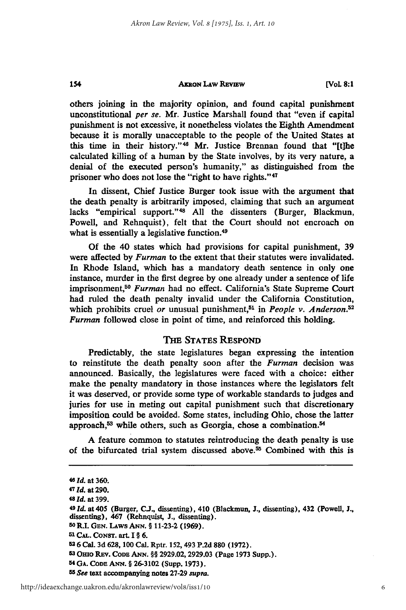**[Vol 8:1**

others joining in the majority opinion, and found capital punishment unconstitutional *per se.* Mr. Justice Marshall found that "even if capital punishment is not excessive, it nonetheless violates the Eighth Amendment because it is morally unacceptable to the people of the United States at this time in their history."<sup>46</sup> Mr. Justice Brennan found that "[t]he calculated killing of a human **by** the State involves, **by** its very nature, a denial of the executed person's humanity," as distinguished from the prisoner who does not lose the "right to have rights." <sup>47</sup>

In dissent, Chief Justice Burger took issue with the argument that the death penalty is arbitrarily imposed, claiming that such an argument lacks "empirical support." <sup>48</sup>**All** the dissenters (Burger, Blackmun, Powell, and Rehnquist), felt that the Court should not encroach on what is essentially a legislative function.<sup>49</sup>

Of the 40 states which had provisions for capital punishment, **39** were affected **by** *Furman* to the extent that their statutes were invalidated. In Rhode Island, which has a mandatory death sentence in only one instance, murder in the first degree **by** one already under a sentence of life imprisonment,50 *Furman* had no effect. California's State Supreme Court had ruled the death penalty invalid under the California Constitution, which prohibits cruel or unusual punishment,<sup>51</sup> in *People v. Anderson*.<sup>52</sup> *Furman* followed close in point of time, and reinforced this holding.

#### THE STATES RESPOND

Predictably, the state legislatures began expressing the intention to reinstitute the death penalty soon after the *Furman* decision was announced. Basically, the legislatures were faced with a choice: either make the penalty mandatory in those instances where the legislators felt it was deserved, or provide some type of workable standards to judges and juries for use in meting out capital punishment such that discretionary imposition could be avoided. Some states, including Ohio, chose the latter approach,<sup>53</sup> while others, such as Georgia, chose a combination.<sup>54</sup>

**A** feature common to statutes reintroducing the death penalty is use of the bifurcated trial system discussed above.55 Combined with this is

154

**50 R.I. GEN. LAws AwN. § 11-23-2 (1969).**

<sup>46</sup> **d. at 360.**

*<sup>47</sup> Id.* **at 290.**

*<sup>48</sup> Id.* at **399.**

*<sup>49</sup> Id.* **at 405 (Burger, C.J.,** dissenting), 410 (Blackmun, **J.,** dissenting), 432 **(Powell, J., dissenting), 467 (Rehnquist, J., dissenting).**

**<sup>51</sup> CAL. CoNsT. art. I § 6.**

**<sup>26</sup> Cal. 3d 628, 100 Cal. Rptr. 152, 493 P.2d 880 (1972).**

**<sup>5 3</sup> Omo REv. CODE ANN.** §§ **2929.02,2929.03 (Page 1973 Supp.).**

**<sup>5</sup> ' GA. CODE ANN. § 26-3102 (Supp. 1973).**

*<sup>55</sup> See* **text accompanying notes 27-29 supra.**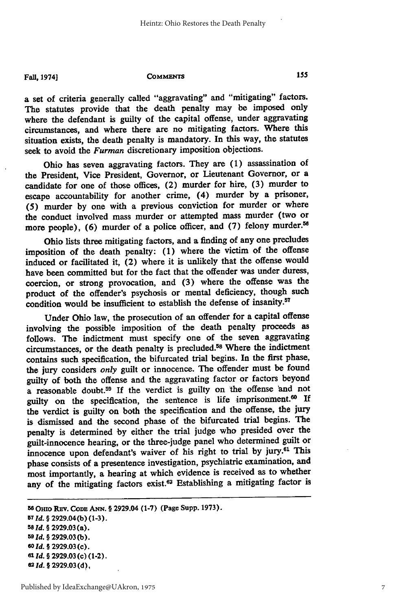155

#### Fall, 1974] **COMMENTS**

a set of criteria generally called "aggravating" and "mitigating" factors. The statutes provide that the death penalty may be imposed only where the defendant is guilty of the capital offense, under aggravating circumstances, and where there are no mitigating factors. Where this situation exists, the death penalty is mandatory. In this way, the statutes seek to avoid the *Furman* discretionary imposition objections.

Ohio has seven aggravating factors. They are (1) assassination of the President, Vice President, Governor, or Lieutenant Governor, or a candidate for one of those offices, (2) murder for hire, (3) murder to escape accountability for another crime, (4) murder by a prisoner, (5) murder by one with a previous conviction for murder or where the conduct involved mass murder or attempted mass murder (two or more people), (6) murder of a police officer, and (7) felony murder.<sup>56</sup>

Ohio lists three mitigating factors, and a finding of any one precludes imposition of the death penalty: **(1)** where the victim of the offense induced or facilitated it, (2) where it is unlikely that the offense would have been committed but for the fact that the offender was under duress, coercion, or strong provocation, and **(3)** where the offense was the product of the offender's psychosis or mental deficiency, though such condition would be insufficient to establish the defense of insanity.<sup>57</sup>

Under Ohio law, the prosecution of an offender for a capital offense involving the possible imposition of the death penalty proceeds as follows. The indictment must specify one of the seven aggravating circumstances, or the death penalty is precluded.58 Where the indictment contains such specification, the bifurcated trial begins. In the first phase, the jury considers *only* guilt or innocence. The offender must be found guilty of both the offense and the aggravating factor or factors beyond a reasonable doubt.59 If the verdict is guilty on the offense 'and not guilty on the specification, the sentence is life imprisonment.60 **If** the verdict is guilty on both the specification and the offense, the jury is dismissed and the second phase of the bifurcated trial begins. The penalty is determined **by** either the trial judge who presided over the guilt-innocence hearing, or the three-judge panel who determined guilt or innocence upon defendant's waiver of his right to trial **by** jury.61 This phase consists of a presentence investigation, psychiatric examination, and most importantly, a hearing at which evidence is received as to whether any of the mitigating factors exist.<sup>62</sup> Establishing a mitigating factor is

**<sup>6</sup> OHIO REv. CODE ANN.** § 2929.04 **(1-7)** (Page Supp. **1973). <sup>57</sup>***Id.* § **2929.04(b) (1-3). <sup>58</sup>***Id. §* **2929.03** (a). **<sup>59</sup>***Id.* § **2929.03 (b).** *60 ld.* **§ 2929.03** (c). **611** *d.* **§ 2929.03 (c)** (1-2). *62ld.* **§ 2929.03 (d),**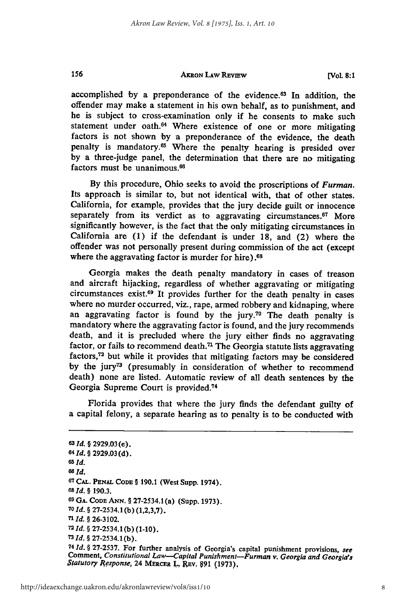**[Vol. 8:1**

accomplished by a preponderance of the evidence.<sup>63</sup> In addition, the offender may make a statement in his own behalf, as to punishment, and he is subject to cross-examination only if he consents to make such statement under oath.<sup>64</sup> Where existence of one or more mitigating factors is not shown by a preponderance of the evidence, the death penalty is mandatory.<sup>65</sup> Where the penalty hearing is presided over by a three-judge panel, the determination that there are no mitigating factors must be unanimous.<sup>66</sup>

By this procedure, Ohio seeks to avoid the proscriptions of *Furman.* Its approach is similar to, but not identical with, that of other states. California, for example, provides that the jury decide guilt or innocence separately from its verdict as to aggravating circumstances.<sup>67</sup> More significantly however, is the fact that the only mitigating circumstances in California are (1) if the defendant is under 18, and (2) where the offender was not personally present during commission of the act (except where the aggravating factor is murder for hire).<sup>68</sup>

Georgia makes the death penalty mandatory in cases of treason and aircraft hijacking, regardless of whether aggravating or mitigating circumstances exist.69 It provides further for the death penalty in cases where no murder occurred, viz., rape, armed robbery and kidnaping, where an aggravating factor is found by the jury.70 The death penalty is mandatory where the aggravating factor is found, and the jury recommends death, and it is precluded where the jury either finds no aggravating factor, or fails to recommend death.<sup> $n$ </sup> The Georgia statute lists aggravating factors, 72 but while it provides that mitigating factors may be considered by the jury<sup>73</sup> (presumably in consideration of whether to recommend death) none are listed. Automatic review of all death sentences by the Georgia Supreme Court is provided.<sup>74</sup>

Florida provides that where the jury finds the defendant guilty of a capital felony, a separate hearing as to penalty is to be conducted with

**63** *Id. §* 2929.03 (e). **<sup>64</sup>***Id. §* 2929.03 (d). **<sup>65</sup>***Id. 6 ld.* **67 CAL. PENAL** CODE § 190.1 (West Supp. 1974). *<sup>68</sup>Id. §* 190.3. **69 GA.** CODE **ANN.** § 27-2534.1 (a) (Supp. 1973). *7O Id.* § 27-2534.1 (b) (1,2,3,7). *71 Id. §* 26-3102. **<sup>72</sup>***Id. §* 27-2534.1 (b) (1-10). **<sup>73</sup>***Id. §* 27-2534.1 (b). <sup>74</sup> *Id.* § 27-2537. For further analysis of Georgia's capital punishment provisions, see Comment, Constitutional Law—Capital Punishment—Furman v. Georgia and Georgia's Statutory Response, 24 MERCER L., REV. 891 (1973).

156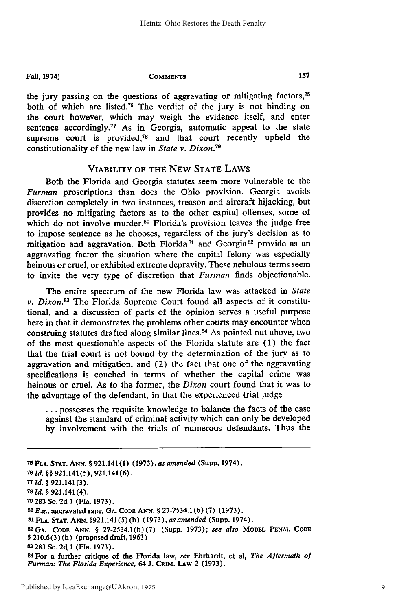#### Fall, **1974] COMMENTS**

the jury passing **on** the questions of aggravating or mitigating factors,7h both of which are listed.<sup>76</sup> The verdict of the jury is not binding on the court however, which may weigh the evidence itself, and enter sentence accordingly.<sup>77</sup> As in Georgia, automatic appeal to the state supreme court is provided,<sup>78</sup> and that court recently upheld the constitutionality of the new law in *State v. Dixon.79*

#### VIABILITY OF THE NEW STATE LAWS

Both the Florida and Georgia statutes seem more vulnerable to the *Furman* proscriptions than does the Ohio provision. Georgia avoids discretion completely in two instances, treason and aircraft hijacking, but provides no mitigating factors as to the other capital offenses, some of which do not involve murder.<sup>80</sup> Florida's provision leaves the judge free to impose sentence as he chooses, regardless of the jury's decision as to mitigation and aggravation. Both Florida<sup>81</sup> and Georgia<sup>82</sup> provide as an aggravating factor the situation where the capital felony was especially heinous or cruel, or exhibited extreme depravity. These nebulous terms seem to invite the very type of discretion that *Furman* finds objectionable.

The entire spectrum of the new Florida law was attacked in *State v. Dixon.83* The Florida Supreme Court found all aspects of it constitutional, and a discussion of parts of the opinion serves a useful purpose here in that it demonstrates the problems other courts may encounter when construing statutes drafted along similar lines.<sup>84</sup> As pointed out above, two of the most questionable aspects of the Florida statute are (1) the fact that the trial court is not bound 'by the determination of the jury as to aggravation and mitigation, and (2) the fact that one of the aggravating specifications is couched in terms of whether the capital crime was heinous or cruel. As to the former, the *Dixon* court found that it was to the advantage of the defendant, in that the experienced trial judge

**...** possesses the requisite knowledge to balance the facts of the case against the standard of criminal activity which can only be developed by involvement with the trials of numerous defendants. Thus the

FLA. **STAT. ANN. §** 921.141(1) (1973), *as amended* (Supp. 1974). **76 Id. §§** 921.141 (5), 921.141(6). **Id. §** 921.141(3). *Id. §* 921.141 (4). 283 So. 2d **1** (Fla. **1973).** *E.g.,* aggravated rape, **GA. CODE ANN. §** 27-2534.1 (b) (7) (1973). **81 FLA. STAT.** ANN. §921.141(5) (h) (1973), *as amended* (Supp. 1974). GA. CODE ANN. **§** 27-2534.1(b) (7) (Supp. 1973); *see also* MODEL **PENAL CODE §** 210.6(3) (h) (proposed draft, 1963). 283 So. 24 1 (Fla. 1973).

**<sup>84</sup>**For a further critique of the Florida law, *see* Ehrhardt, et al, *The Aftermath of Furman: The Florida Experience, 64 J. CRIM. LAW 2 (1973).*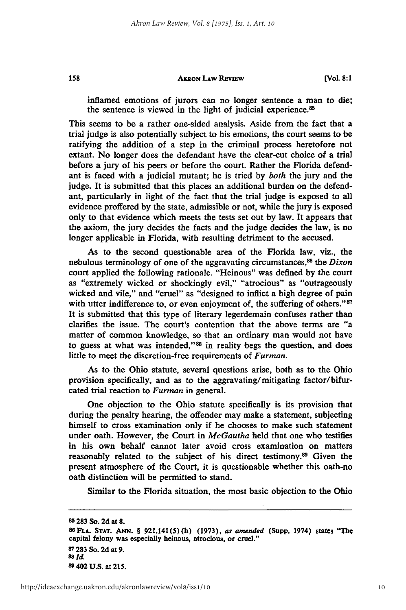158

inflamed emotions of jurors can no longer sentence a man to die; the sentence is viewed in the light of judicial experience.<sup>85</sup>

This seems to be a rather one-sided analysis. Aside from the fact that a trial judge is also potentially subject to his emotions, the court seems to be ratifying the addition of a step in the criminal process heretofore not extant. No longer does the defendant have the clear-cut choice of a trial before a jury of his peers or before the court. Rather the Florida defendant is faced with a judicial mutant; he is tried **'by** *both* the jury and the judge. It is submitted that this places an additional burden on the defendant, particularly in light of the fact that the trial judge is exposed to all evidence proffered **by** the state, admissible or not, while the jury is exposed only to that evidence which meets the tests set out **by** law. It appears that the axiom, the jury decides the facts and the judge decides the law, is no longer applicable in Florida, with resulting detriment to the accused.

As to the second questionable area of the Florida law, viz., the nebulous terminology of one of the aggravating circumstances,<sup>86</sup> the *Dixon* court applied the following rationale. "Heinous" was defined **by** the court as "extremely wicked or shockingly evil," "atrocious" as "outrageously wicked and vile," and "cruel" as "designed to inflict a high degree of pain with utter indifference to, or even enjoyment of, the suffering of others."<sup>87</sup> It is submitted that this type of literary legerdemain confuses rather than clarifies the issue. The court's contention that the above terms are "a matter of common knowledge, so that an ordinary man would not have to guess at what was intended,"<sup>88</sup> in reality begs the question, and does little to meet the discretion-free requirements of *Furman.*

As to the Ohio statute, several questions arise, both as to the Ohio provision specifically, and as to the aggravating/mitigating factor/bifurcated trial reaction to *Furman* in general.

One objection to the Ohio statute specifically is its provision that during the penalty hearing, the offender may make a statement, subjecting himself to cross examination only if he chooses to make such statement under oath. However, the Court in *McGautha* held that one who testifies in his own behalf cannot later avoid cross examination on matters reasonably related to the subject of his direct testimony.89 Given the present atmosphere of the Court, it is questionable whether this oath-no oath distinction will be permitted to stand.

Similar to the Florida situation, the most basic objection to the Ohio

**<sup>85 283</sup> So. 2d at 8. 86FLA. STAT.** *ANN.* **§ 921.141(5)(h) (1973),** *as amended* **(Supp. 1974)** states **"The capital felony was especially heinous, atrocious, or cruel." 87 283 So. 2d at 9.** *88 Id.* **8 402 U.S. at 215.**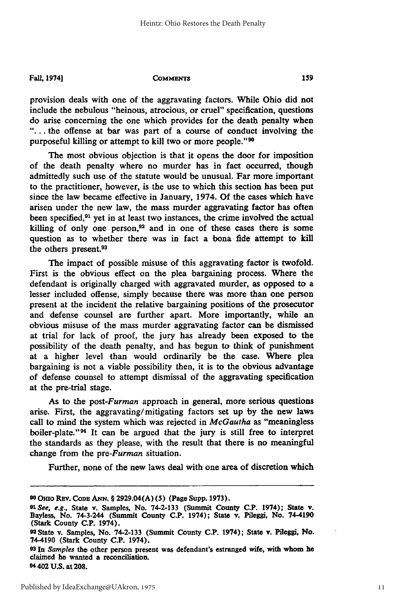**Fall, 197/4]**

**COMMENTS** 

provision deals with one of the aggravating factors. While Ohio did not include the nebulous "heinous, atrocious, or cruel" specification, questions do arise concerning the one which provides for the death penalty when **"....** the offense at bar was part of a course of conduct involving the purposeful killing or attempt to kill two or more people."<sup>90</sup>

The most obvious objection is that it opens the door for imposition of the death penalty where no murder has in fact occurred, though admittedly such use of the statute would be unusual. Far more important to the practitioner, however, is the use to which this section has been put since the law became effective in January, 1974. **Of** the cases which have arisen under the new law, the mass murder aggravating factor has often been specified,<sup>91</sup> yet in at least two instances, the crime involved the actual killing of only one person, $92$  and in one of these cases there is some question as to whether there was in fact a bona fide attempt to kill the others present.<sup>93</sup>

The impact of possible misuse of this aggravating factor is twofold. First is the obvious effect on the plea bargaining process. Where the defendant is originally charged with aggravated murder, as opposed to a lesser included offense, simply because there was more than one person present at the incident the relative bargaining positions of the prosecutor and defense counsel are further apart. More importantly, while an obvious misuse of the mass murder aggravating factor can be dismissed at trial for lack of proof, the jury has already been exposed to the possibility of the death penalty, and has begun to think of punishment at a higher level than would ordinarily be the case. Where plea bargaining is not a viable possibility then, it is to the obvious advantage of defense counsel to attempt dismissal of the aggravating specification at the pre-trial stage.

As to the *post-Furman* approach in general, more serious questions arise. First, the aggravating/mitigating factors set up **by** the new laws call to mind the system which was rejected in *McGautha* as "meaningless boiler-plate."94 It can be argued that the jury is still free to interpret the standards as they please, with the result that there is no meaningful change from the *pre-Furman* situation.

Further, none of the new laws deal with one area of discretion which

**<sup>9</sup> Omo REv. CODE ANN.** § **2929.04(A) (5) (Page Supp. 1973).**

*<sup>91</sup>See, e.g.,* **State v. Samples, No. 74-2-133 (Summit County C.P. 1974); State v. Bayless, No. 74-3-244 (Summit** County **C.P. 1974); State v. Pileggi, No. 74-4190 (Stark** County **C.P. 1974).**

**<sup>92</sup> State v. Samples, No. 74-2-133 (Summit County C.P. 1974); State v. Pileggi, No. 74-4190 (Stark County C.P. 1974).**<br><sup>93</sup> In *Samples* the other person present was defendant's estranged wife, with whom he

<sup>&</sup>lt;sup>93</sup> In *Samples* the other person present was defendant's estranged wife, with whom he claimed he wanted a reconciliation. **94 402 U.S.** at **208.**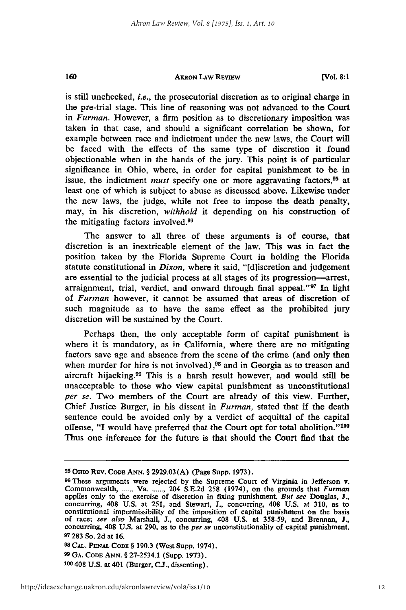160

#### **AKRON LAW REVIEW**

**[Vol 8:1**

is still unchecked, *i.e.,* the prosecutorial discretion as to original charge in the pre-trial stage. This line of reasoning was not advanced to the **Court** in *Furman.* However, a firm position as to discretionary **imposition was** taken in that case, and should a significant correlation be shown, for example between race and indictment under the new laws, the Court will be faced with the effects of the same type of discretion it found objectionable when in the hands of the jury. This point is of particular significance in Ohio, where, in order for capital punishment to be in issue, the indictment *must* specify one or more aggravating factors,<sup>95</sup> at least one of which is subject to abuse as discussed above. Likewise under the new laws, the judge, while not free to impose the death penalty, may, in his discretion, *withhold* it depending on his construction of the mitigating factors involved.<sup>96</sup>

The answer to all three of these arguments is of course, that discretion is an inextricable element of the law. This was in fact the position taken **by** the Florida Supreme Court in holding the Florida statute constitutional in *Dixon,* where it said, "[d]iscretion and judgement are essential to the judicial process at all stages of its progression-arrest, arraignment, trial, verdict, and onward through final appeal."<sup>97</sup> In light of *Furman* however, it cannot be assumed that areas of discretion of such magnitude as to have the same effect as the prohibited jury discretion will be sustained **by** the Court.

Perhaps then, the only acceptable form of capital punishment is where it is mandatory, as in California, where there are no mitigating factors save age and absence from the scene of the crime (and only then when murder for hire is not involved),<sup>98</sup> and in Georgia as to treason and aircraft hijacking.<sup>99</sup> This is a harsh result however, and would still be unacceptable to those who view capital punishment as unconstitutional *per se.* Two members of the Court are already of this view. Further, Chief Justice Burger, in his dissent in *Furman,* stated that if the death sentence could be avoided only **by** a verdict of acquittal of the capital offense, "I would have preferred that the Court opt for total abolition."<sup>100</sup> Thus one inference for the future is that should the Court find that the

**98 CAL. PENAL CODE** § **190.3** (West Supp. 1974). **99 GA.** CODE **ANN.** § **27-2534.1** (Supp. **1973). <sup>100</sup>**408 **U.S.** at 401 (Burger, **C.J.,** dissenting).

**<sup>9</sup> <sup>5</sup>**Omo REv. CODE **ANN.** § 2929.03 **(A)** (Page Supp. 1973).

**<sup>96</sup>**These arguments were rejected by the Supreme Court of Virginia in Jefferson v. Commonwealth, ...... Va. ......, 204 S.E.2d 258 (1974), on the grounds that *Furman* applies only to the exercise of discretion in fixing punishment. *But see* Douglas, J., applies only to the exercise of discretion in fixing punishment. But see Douglas, J., concurring, 408 U.S. at 251, and Stewart, J., concurring, 408 U.S. at 310, as to constitutional impermissibility of the imposition of c **97283** So. **2d** at **16.**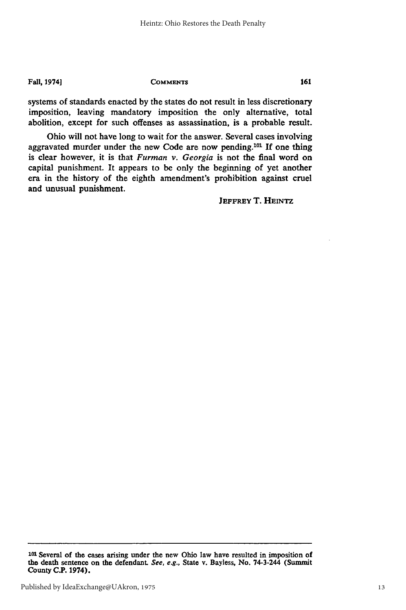**Fall, 1974]**

**COMMENTS**

systems of standards enacted **by** the states do not result in less discretionary imposition, leaving mandatory imposition the only alternative, total abolition, except for such offenses as assassination, is a probable result.

Ohio will not have long to wait for the answer. Several cases involving aggravated murder under the new Code are now pending.<sup>101</sup> If one thing is clear however, it is that *Furman v. Georgia* is not the final word on capital punishment. It appears to be only the beginning of yet another era in the history of the eighth amendment's prohibition against cruel and unusual punishment.

**JEFFREY** T. **HEINTZ**

**<sup>101</sup>**Several of the cases arising under the new Ohio law have resulted in imposition of the death sentence on the defendant. **See, e.g.,** State v. Bayless, No. 74-3-244 (Summit County **C.P. 1974).**